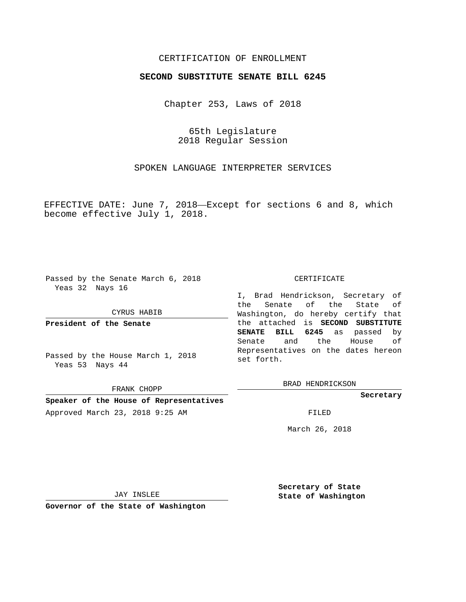## CERTIFICATION OF ENROLLMENT

### **SECOND SUBSTITUTE SENATE BILL 6245**

Chapter 253, Laws of 2018

65th Legislature 2018 Regular Session

SPOKEN LANGUAGE INTERPRETER SERVICES

EFFECTIVE DATE: June 7, 2018—Except for sections 6 and 8, which become effective July 1, 2018.

Passed by the Senate March 6, 2018 Yeas 32 Nays 16

#### CYRUS HABIB

**President of the Senate**

Passed by the House March 1, 2018 Yeas 53 Nays 44

FRANK CHOPP

**Speaker of the House of Representatives**

Approved March 23, 2018 9:25 AM FILED

### CERTIFICATE

I, Brad Hendrickson, Secretary of the Senate of the State of Washington, do hereby certify that the attached is **SECOND SUBSTITUTE SENATE BILL 6245** as passed by Senate and the House of Representatives on the dates hereon set forth.

BRAD HENDRICKSON

**Secretary**

March 26, 2018

JAY INSLEE

**Governor of the State of Washington**

**Secretary of State State of Washington**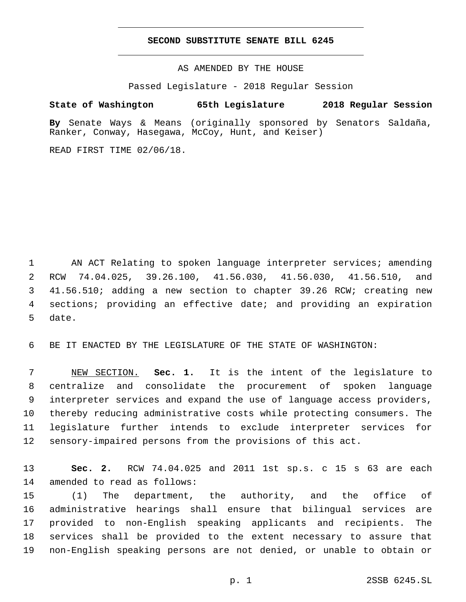#### **SECOND SUBSTITUTE SENATE BILL 6245**

AS AMENDED BY THE HOUSE

Passed Legislature - 2018 Regular Session

# **State of Washington 65th Legislature 2018 Regular Session**

**By** Senate Ways & Means (originally sponsored by Senators Saldaña, Ranker, Conway, Hasegawa, McCoy, Hunt, and Keiser)

READ FIRST TIME 02/06/18.

1 AN ACT Relating to spoken language interpreter services; amending 2 RCW 74.04.025, 39.26.100, 41.56.030, 41.56.030, 41.56.510, and 3 41.56.510; adding a new section to chapter 39.26 RCW; creating new 4 sections; providing an effective date; and providing an expiration 5 date.

6 BE IT ENACTED BY THE LEGISLATURE OF THE STATE OF WASHINGTON:

 NEW SECTION. **Sec. 1.** It is the intent of the legislature to centralize and consolidate the procurement of spoken language interpreter services and expand the use of language access providers, thereby reducing administrative costs while protecting consumers. The legislature further intends to exclude interpreter services for sensory-impaired persons from the provisions of this act.

13 **Sec. 2.** RCW 74.04.025 and 2011 1st sp.s. c 15 s 63 are each 14 amended to read as follows:

 (1) The department, the authority, and the office of administrative hearings shall ensure that bilingual services are provided to non-English speaking applicants and recipients. The services shall be provided to the extent necessary to assure that non-English speaking persons are not denied, or unable to obtain or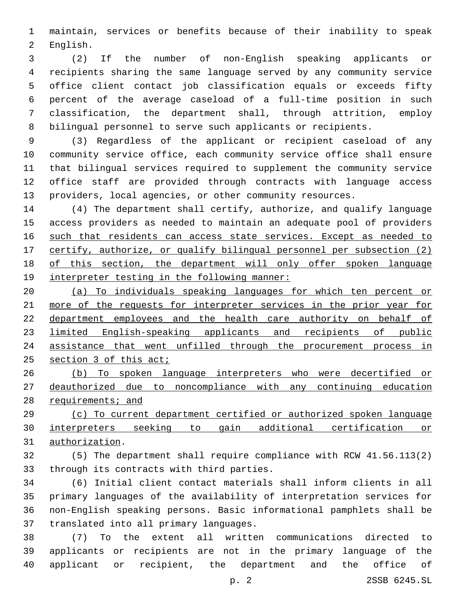maintain, services or benefits because of their inability to speak 2 English.

 (2) If the number of non-English speaking applicants or recipients sharing the same language served by any community service office client contact job classification equals or exceeds fifty percent of the average caseload of a full-time position in such classification, the department shall, through attrition, employ bilingual personnel to serve such applicants or recipients.

 (3) Regardless of the applicant or recipient caseload of any community service office, each community service office shall ensure that bilingual services required to supplement the community service office staff are provided through contracts with language access providers, local agencies, or other community resources.

 (4) The department shall certify, authorize, and qualify language access providers as needed to maintain an adequate pool of providers 16 such that residents can access state services. Except as needed to certify, authorize, or qualify bilingual personnel per subsection (2) of this section, the department will only offer spoken language 19 interpreter testing in the following manner:

 (a) To individuals speaking languages for which ten percent or more of the requests for interpreter services in the prior year for 22 department employees and the health care authority on behalf of limited English-speaking applicants and recipients of public 24 assistance that went unfilled through the procurement process in 25 section 3 of this act;

 (b) To spoken language interpreters who were decertified or deauthorized due to noncompliance with any continuing education 28 requirements; and

 (c) To current department certified or authorized spoken language interpreters seeking to gain additional certification or 31 authorization.

 (5) The department shall require compliance with RCW 41.56.113(2) 33 through its contracts with third parties.

 (6) Initial client contact materials shall inform clients in all primary languages of the availability of interpretation services for non-English speaking persons. Basic informational pamphlets shall be 37 translated into all primary languages.

 (7) To the extent all written communications directed to applicants or recipients are not in the primary language of the applicant or recipient, the department and the office of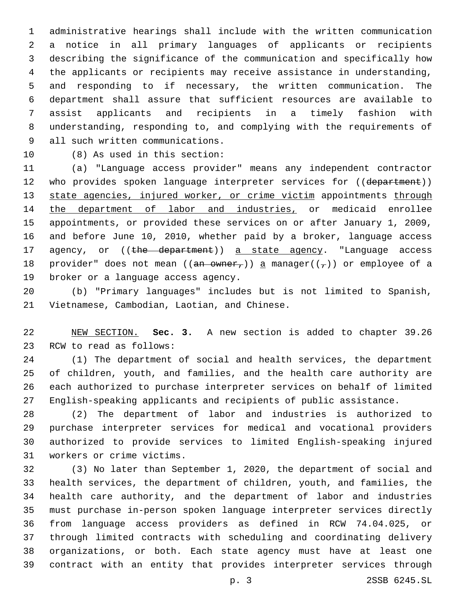administrative hearings shall include with the written communication a notice in all primary languages of applicants or recipients describing the significance of the communication and specifically how the applicants or recipients may receive assistance in understanding, and responding to if necessary, the written communication. The department shall assure that sufficient resources are available to assist applicants and recipients in a timely fashion with understanding, responding to, and complying with the requirements of 9 all such written communications.

10 (8) As used in this section:

 (a) "Language access provider" means any independent contractor 12 who provides spoken language interpreter services for ((department)) 13 state agencies, injured worker, or crime victim appointments through 14 the department of labor and industries, or medicaid enrollee appointments, or provided these services on or after January 1, 2009, and before June 10, 2010, whether paid by a broker, language access 17 agency, or ((the department)) a state agency. "Language access 18 provider" does not mean ((an owner,)) a manager( $(\tau)$ ) or employee of a 19 broker or a language access agency.

 (b) "Primary languages" includes but is not limited to Spanish, 21 Vietnamese, Cambodian, Laotian, and Chinese.

 NEW SECTION. **Sec. 3.** A new section is added to chapter 39.26 23 RCW to read as follows:

 (1) The department of social and health services, the department of children, youth, and families, and the health care authority are each authorized to purchase interpreter services on behalf of limited English-speaking applicants and recipients of public assistance.

 (2) The department of labor and industries is authorized to purchase interpreter services for medical and vocational providers authorized to provide services to limited English-speaking injured 31 workers or crime victims.

 (3) No later than September 1, 2020, the department of social and health services, the department of children, youth, and families, the health care authority, and the department of labor and industries must purchase in-person spoken language interpreter services directly from language access providers as defined in RCW 74.04.025, or through limited contracts with scheduling and coordinating delivery organizations, or both. Each state agency must have at least one contract with an entity that provides interpreter services through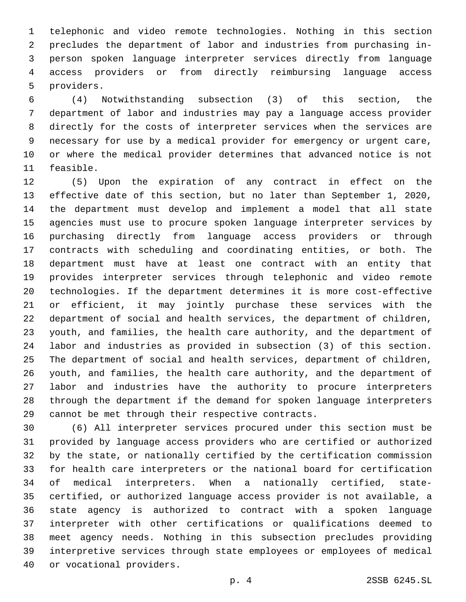telephonic and video remote technologies. Nothing in this section precludes the department of labor and industries from purchasing in- person spoken language interpreter services directly from language access providers or from directly reimbursing language access 5 providers.

 (4) Notwithstanding subsection (3) of this section, the department of labor and industries may pay a language access provider directly for the costs of interpreter services when the services are necessary for use by a medical provider for emergency or urgent care, or where the medical provider determines that advanced notice is not 11 feasible.

 (5) Upon the expiration of any contract in effect on the effective date of this section, but no later than September 1, 2020, the department must develop and implement a model that all state agencies must use to procure spoken language interpreter services by purchasing directly from language access providers or through contracts with scheduling and coordinating entities, or both. The department must have at least one contract with an entity that provides interpreter services through telephonic and video remote technologies. If the department determines it is more cost-effective or efficient, it may jointly purchase these services with the department of social and health services, the department of children, youth, and families, the health care authority, and the department of labor and industries as provided in subsection (3) of this section. The department of social and health services, department of children, youth, and families, the health care authority, and the department of labor and industries have the authority to procure interpreters through the department if the demand for spoken language interpreters 29 cannot be met through their respective contracts.

 (6) All interpreter services procured under this section must be provided by language access providers who are certified or authorized by the state, or nationally certified by the certification commission for health care interpreters or the national board for certification of medical interpreters. When a nationally certified, state- certified, or authorized language access provider is not available, a state agency is authorized to contract with a spoken language interpreter with other certifications or qualifications deemed to meet agency needs. Nothing in this subsection precludes providing interpretive services through state employees or employees of medical 40 or vocational providers.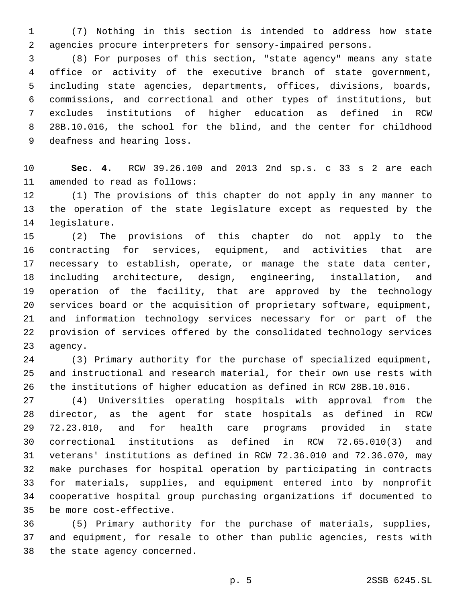(7) Nothing in this section is intended to address how state agencies procure interpreters for sensory-impaired persons.

 (8) For purposes of this section, "state agency" means any state office or activity of the executive branch of state government, including state agencies, departments, offices, divisions, boards, commissions, and correctional and other types of institutions, but excludes institutions of higher education as defined in RCW 28B.10.016, the school for the blind, and the center for childhood 9 deafness and hearing loss.

 **Sec. 4.** RCW 39.26.100 and 2013 2nd sp.s. c 33 s 2 are each 11 amended to read as follows:

 (1) The provisions of this chapter do not apply in any manner to the operation of the state legislature except as requested by the 14 legislature.

 (2) The provisions of this chapter do not apply to the contracting for services, equipment, and activities that are necessary to establish, operate, or manage the state data center, including architecture, design, engineering, installation, and operation of the facility, that are approved by the technology services board or the acquisition of proprietary software, equipment, and information technology services necessary for or part of the provision of services offered by the consolidated technology services 23 agency.

 (3) Primary authority for the purchase of specialized equipment, and instructional and research material, for their own use rests with the institutions of higher education as defined in RCW 28B.10.016.

 (4) Universities operating hospitals with approval from the director, as the agent for state hospitals as defined in RCW 72.23.010, and for health care programs provided in state correctional institutions as defined in RCW 72.65.010(3) and veterans' institutions as defined in RCW 72.36.010 and 72.36.070, may make purchases for hospital operation by participating in contracts for materials, supplies, and equipment entered into by nonprofit cooperative hospital group purchasing organizations if documented to 35 be more cost-effective.

 (5) Primary authority for the purchase of materials, supplies, and equipment, for resale to other than public agencies, rests with 38 the state agency concerned.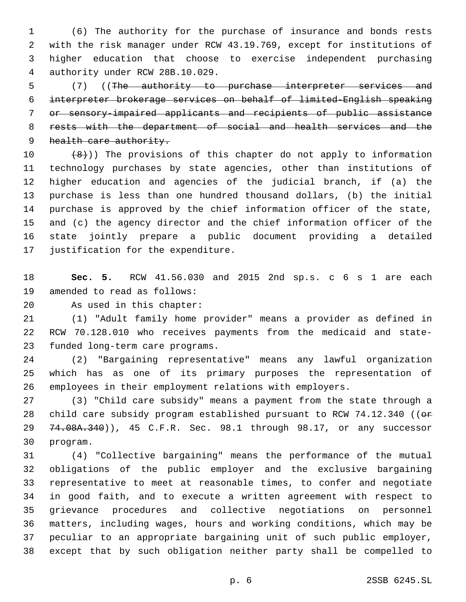(6) The authority for the purchase of insurance and bonds rests with the risk manager under RCW 43.19.769, except for institutions of higher education that choose to exercise independent purchasing authority under RCW 28B.10.029.4

 (7) ((The authority to purchase interpreter services and interpreter brokerage services on behalf of limited-English speaking or sensory-impaired applicants and recipients of public assistance rests with the department of social and health services and the 9 health care authority.

 $(8)$ )) The provisions of this chapter do not apply to information technology purchases by state agencies, other than institutions of higher education and agencies of the judicial branch, if (a) the purchase is less than one hundred thousand dollars, (b) the initial purchase is approved by the chief information officer of the state, and (c) the agency director and the chief information officer of the state jointly prepare a public document providing a detailed 17 justification for the expenditure.

 **Sec. 5.** RCW 41.56.030 and 2015 2nd sp.s. c 6 s 1 are each 19 amended to read as follows:

20 As used in this chapter:

 (1) "Adult family home provider" means a provider as defined in RCW 70.128.010 who receives payments from the medicaid and state-23 funded long-term care programs.

 (2) "Bargaining representative" means any lawful organization which has as one of its primary purposes the representation of employees in their employment relations with employers.

 (3) "Child care subsidy" means a payment from the state through a 28 child care subsidy program established pursuant to RCW 74.12.340 ((or 29 74.08A.340)), 45 C.F.R. Sec. 98.1 through 98.17, or any successor 30 program.

 (4) "Collective bargaining" means the performance of the mutual obligations of the public employer and the exclusive bargaining representative to meet at reasonable times, to confer and negotiate in good faith, and to execute a written agreement with respect to grievance procedures and collective negotiations on personnel matters, including wages, hours and working conditions, which may be peculiar to an appropriate bargaining unit of such public employer, except that by such obligation neither party shall be compelled to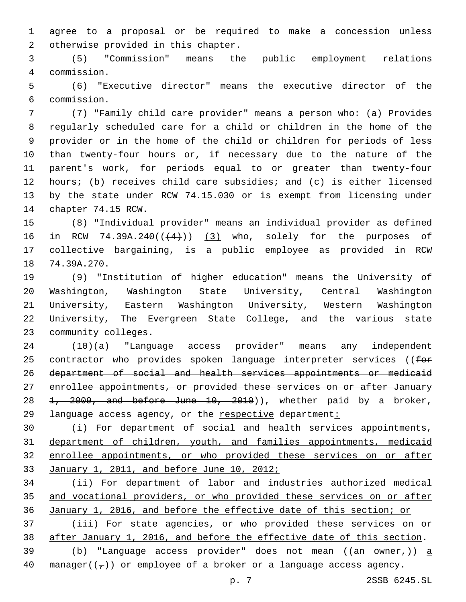agree to a proposal or be required to make a concession unless 2 otherwise provided in this chapter.

 (5) "Commission" means the public employment relations commission.4

 (6) "Executive director" means the executive director of the commission.6

 (7) "Family child care provider" means a person who: (a) Provides regularly scheduled care for a child or children in the home of the provider or in the home of the child or children for periods of less than twenty-four hours or, if necessary due to the nature of the parent's work, for periods equal to or greater than twenty-four hours; (b) receives child care subsidies; and (c) is either licensed by the state under RCW 74.15.030 or is exempt from licensing under 14 chapter 74.15 RCW.

 (8) "Individual provider" means an individual provider as defined 16 in RCW 74.39A.240 $((+4))$   $(3)$  who, solely for the purposes of collective bargaining, is a public employee as provided in RCW 18 74.39A.270.

 (9) "Institution of higher education" means the University of Washington, Washington State University, Central Washington University, Eastern Washington University, Western Washington University, The Evergreen State College, and the various state 23 community colleges.

 (10)(a) "Language access provider" means any independent 25 contractor who provides spoken language interpreter services ((for department of social and health services appointments or medicaid enrollee appointments, or provided these services on or after January 28 <del>1, 2009, and before June 10, 2010</del>)), whether paid by a broker, language access agency, or the respective department:

 (i) For department of social and health services appointments, department of children, youth, and families appointments, medicaid enrollee appointments, or who provided these services on or after January 1, 2011, and before June 10, 2012;

 (ii) For department of labor and industries authorized medical and vocational providers, or who provided these services on or after January 1, 2016, and before the effective date of this section; or

 (iii) For state agencies, or who provided these services on or after January 1, 2016, and before the effective date of this section.

39  $(b)$  "Language access provider" does not mean  $((an - owner<sub>r</sub>)) a$ 40 manager( $(\tau)$ ) or employee of a broker or a language access agency.

p. 7 2SSB 6245.SL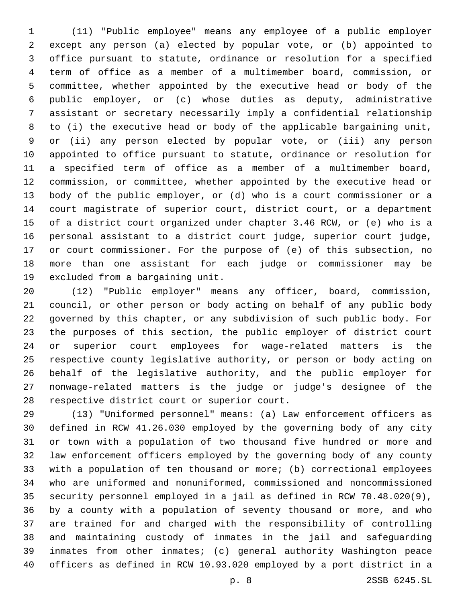(11) "Public employee" means any employee of a public employer except any person (a) elected by popular vote, or (b) appointed to office pursuant to statute, ordinance or resolution for a specified term of office as a member of a multimember board, commission, or committee, whether appointed by the executive head or body of the public employer, or (c) whose duties as deputy, administrative assistant or secretary necessarily imply a confidential relationship to (i) the executive head or body of the applicable bargaining unit, or (ii) any person elected by popular vote, or (iii) any person appointed to office pursuant to statute, ordinance or resolution for a specified term of office as a member of a multimember board, commission, or committee, whether appointed by the executive head or body of the public employer, or (d) who is a court commissioner or a court magistrate of superior court, district court, or a department of a district court organized under chapter 3.46 RCW, or (e) who is a personal assistant to a district court judge, superior court judge, or court commissioner. For the purpose of (e) of this subsection, no more than one assistant for each judge or commissioner may be 19 excluded from a bargaining unit.

 (12) "Public employer" means any officer, board, commission, council, or other person or body acting on behalf of any public body governed by this chapter, or any subdivision of such public body. For the purposes of this section, the public employer of district court or superior court employees for wage-related matters is the respective county legislative authority, or person or body acting on behalf of the legislative authority, and the public employer for nonwage-related matters is the judge or judge's designee of the 28 respective district court or superior court.

 (13) "Uniformed personnel" means: (a) Law enforcement officers as defined in RCW 41.26.030 employed by the governing body of any city or town with a population of two thousand five hundred or more and law enforcement officers employed by the governing body of any county with a population of ten thousand or more; (b) correctional employees who are uniformed and nonuniformed, commissioned and noncommissioned security personnel employed in a jail as defined in RCW 70.48.020(9), by a county with a population of seventy thousand or more, and who are trained for and charged with the responsibility of controlling and maintaining custody of inmates in the jail and safeguarding inmates from other inmates; (c) general authority Washington peace officers as defined in RCW 10.93.020 employed by a port district in a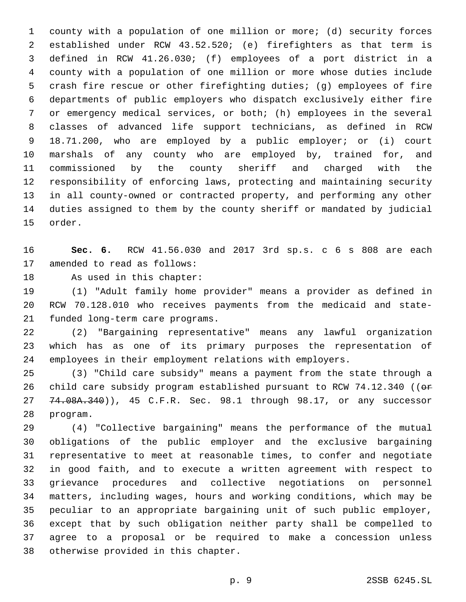county with a population of one million or more; (d) security forces established under RCW 43.52.520; (e) firefighters as that term is defined in RCW 41.26.030; (f) employees of a port district in a county with a population of one million or more whose duties include crash fire rescue or other firefighting duties; (g) employees of fire departments of public employers who dispatch exclusively either fire or emergency medical services, or both; (h) employees in the several classes of advanced life support technicians, as defined in RCW 18.71.200, who are employed by a public employer; or (i) court marshals of any county who are employed by, trained for, and commissioned by the county sheriff and charged with the responsibility of enforcing laws, protecting and maintaining security in all county-owned or contracted property, and performing any other duties assigned to them by the county sheriff or mandated by judicial 15 order.

 **Sec. 6.** RCW 41.56.030 and 2017 3rd sp.s. c 6 s 808 are each 17 amended to read as follows:

18 As used in this chapter:

 (1) "Adult family home provider" means a provider as defined in RCW 70.128.010 who receives payments from the medicaid and state-21 funded long-term care programs.

 (2) "Bargaining representative" means any lawful organization which has as one of its primary purposes the representation of employees in their employment relations with employers.

 (3) "Child care subsidy" means a payment from the state through a 26 child care subsidy program established pursuant to RCW 74.12.340 (( $\Theta$ ff 27 74.08A.340)), 45 C.F.R. Sec. 98.1 through 98.17, or any successor 28 program.

 (4) "Collective bargaining" means the performance of the mutual obligations of the public employer and the exclusive bargaining representative to meet at reasonable times, to confer and negotiate in good faith, and to execute a written agreement with respect to grievance procedures and collective negotiations on personnel matters, including wages, hours and working conditions, which may be peculiar to an appropriate bargaining unit of such public employer, except that by such obligation neither party shall be compelled to agree to a proposal or be required to make a concession unless 38 otherwise provided in this chapter.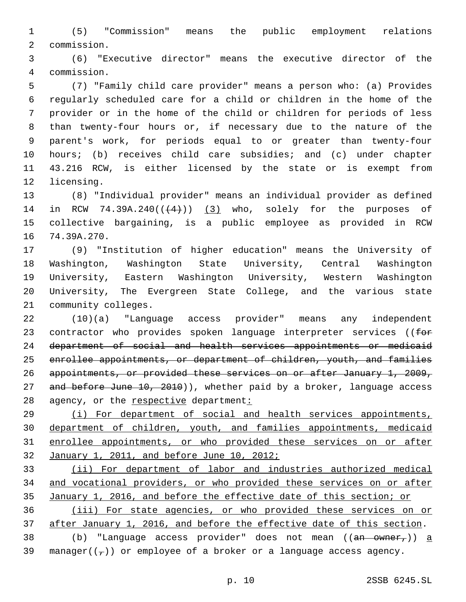(5) "Commission" means the public employment relations commission.2

 (6) "Executive director" means the executive director of the commission.4

 (7) "Family child care provider" means a person who: (a) Provides regularly scheduled care for a child or children in the home of the provider or in the home of the child or children for periods of less than twenty-four hours or, if necessary due to the nature of the parent's work, for periods equal to or greater than twenty-four hours; (b) receives child care subsidies; and (c) under chapter 43.216 RCW, is either licensed by the state or is exempt from 12 licensing.

 (8) "Individual provider" means an individual provider as defined 14 in RCW 74.39A.240 $((+4))$   $(3)$  who, solely for the purposes of collective bargaining, is a public employee as provided in RCW 16 74.39A.270.

 (9) "Institution of higher education" means the University of Washington, Washington State University, Central Washington University, Eastern Washington University, Western Washington University, The Evergreen State College, and the various state 21 community colleges.

 (10)(a) "Language access provider" means any independent 23 contractor who provides spoken language interpreter services ((for department of social and health services appointments or medicaid enrollee appointments, or department of children, youth, and families appointments, or provided these services on or after January 1, 2009, 27 and before June 10, 2010)), whether paid by a broker, language access 28 agency, or the respective department:

 (i) For department of social and health services appointments, department of children, youth, and families appointments, medicaid enrollee appointments, or who provided these services on or after 32 January 1, 2011, and before June 10, 2012;

 (ii) For department of labor and industries authorized medical and vocational providers, or who provided these services on or after January 1, 2016, and before the effective date of this section; or (iii) For state agencies, or who provided these services on or

after January 1, 2016, and before the effective date of this section.

38 (b) "Language access provider" does not mean  $((an - owner<sub>r</sub>)) a$ 39 manager( $(\tau)$ ) or employee of a broker or a language access agency.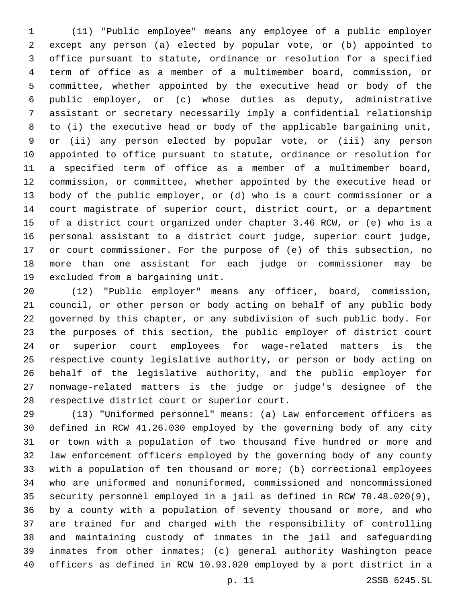(11) "Public employee" means any employee of a public employer except any person (a) elected by popular vote, or (b) appointed to office pursuant to statute, ordinance or resolution for a specified term of office as a member of a multimember board, commission, or committee, whether appointed by the executive head or body of the public employer, or (c) whose duties as deputy, administrative assistant or secretary necessarily imply a confidential relationship to (i) the executive head or body of the applicable bargaining unit, or (ii) any person elected by popular vote, or (iii) any person appointed to office pursuant to statute, ordinance or resolution for a specified term of office as a member of a multimember board, commission, or committee, whether appointed by the executive head or body of the public employer, or (d) who is a court commissioner or a court magistrate of superior court, district court, or a department of a district court organized under chapter 3.46 RCW, or (e) who is a personal assistant to a district court judge, superior court judge, or court commissioner. For the purpose of (e) of this subsection, no more than one assistant for each judge or commissioner may be 19 excluded from a bargaining unit.

 (12) "Public employer" means any officer, board, commission, council, or other person or body acting on behalf of any public body governed by this chapter, or any subdivision of such public body. For the purposes of this section, the public employer of district court or superior court employees for wage-related matters is the respective county legislative authority, or person or body acting on behalf of the legislative authority, and the public employer for nonwage-related matters is the judge or judge's designee of the 28 respective district court or superior court.

 (13) "Uniformed personnel" means: (a) Law enforcement officers as defined in RCW 41.26.030 employed by the governing body of any city or town with a population of two thousand five hundred or more and law enforcement officers employed by the governing body of any county with a population of ten thousand or more; (b) correctional employees who are uniformed and nonuniformed, commissioned and noncommissioned security personnel employed in a jail as defined in RCW 70.48.020(9), by a county with a population of seventy thousand or more, and who are trained for and charged with the responsibility of controlling and maintaining custody of inmates in the jail and safeguarding inmates from other inmates; (c) general authority Washington peace officers as defined in RCW 10.93.020 employed by a port district in a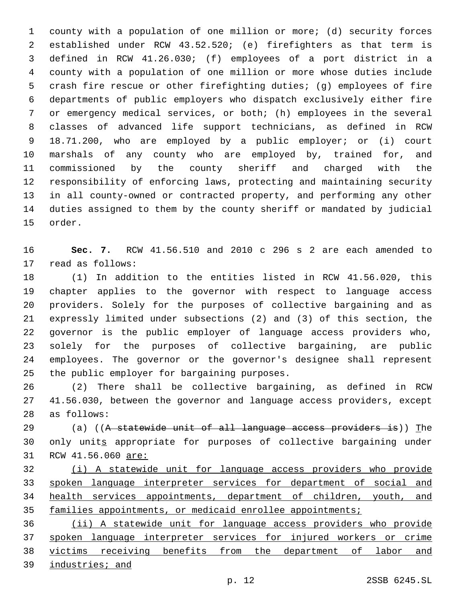county with a population of one million or more; (d) security forces established under RCW 43.52.520; (e) firefighters as that term is defined in RCW 41.26.030; (f) employees of a port district in a county with a population of one million or more whose duties include crash fire rescue or other firefighting duties; (g) employees of fire departments of public employers who dispatch exclusively either fire or emergency medical services, or both; (h) employees in the several classes of advanced life support technicians, as defined in RCW 18.71.200, who are employed by a public employer; or (i) court marshals of any county who are employed by, trained for, and commissioned by the county sheriff and charged with the responsibility of enforcing laws, protecting and maintaining security in all county-owned or contracted property, and performing any other duties assigned to them by the county sheriff or mandated by judicial 15 order.

 **Sec. 7.** RCW 41.56.510 and 2010 c 296 s 2 are each amended to 17 read as follows:

 (1) In addition to the entities listed in RCW 41.56.020, this chapter applies to the governor with respect to language access providers. Solely for the purposes of collective bargaining and as expressly limited under subsections (2) and (3) of this section, the governor is the public employer of language access providers who, solely for the purposes of collective bargaining, are public employees. The governor or the governor's designee shall represent 25 the public employer for bargaining purposes.

 (2) There shall be collective bargaining, as defined in RCW 41.56.030, between the governor and language access providers, except 28 as follows:

29 (a) ((A statewide unit of all language access providers is)) The only units appropriate for purposes of collective bargaining under 31 RCW 41.56.060 are:

 (i) A statewide unit for language access providers who provide spoken language interpreter services for department of social and health services appointments, department of children, youth, and 35 families appointments, or medicaid enrollee appointments;

 (ii) A statewide unit for language access providers who provide 37 spoken language interpreter services for injured workers or crime victims receiving benefits from the department of labor and industries; and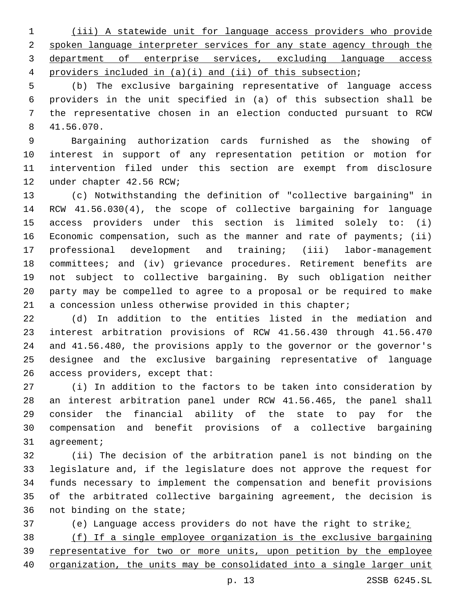(iii) A statewide unit for language access providers who provide spoken language interpreter services for any state agency through the department of enterprise services, excluding language access providers included in (a)(i) and (ii) of this subsection;

 (b) The exclusive bargaining representative of language access providers in the unit specified in (a) of this subsection shall be the representative chosen in an election conducted pursuant to RCW 41.56.070.8

 Bargaining authorization cards furnished as the showing of interest in support of any representation petition or motion for intervention filed under this section are exempt from disclosure 12 under chapter 42.56 RCW;

 (c) Notwithstanding the definition of "collective bargaining" in RCW 41.56.030(4), the scope of collective bargaining for language access providers under this section is limited solely to: (i) Economic compensation, such as the manner and rate of payments; (ii) professional development and training; (iii) labor-management 18 committees; and (iv) grievance procedures. Retirement benefits are not subject to collective bargaining. By such obligation neither party may be compelled to agree to a proposal or be required to make a concession unless otherwise provided in this chapter;

 (d) In addition to the entities listed in the mediation and interest arbitration provisions of RCW 41.56.430 through 41.56.470 and 41.56.480, the provisions apply to the governor or the governor's designee and the exclusive bargaining representative of language 26 access providers, except that:

 (i) In addition to the factors to be taken into consideration by an interest arbitration panel under RCW 41.56.465, the panel shall consider the financial ability of the state to pay for the compensation and benefit provisions of a collective bargaining 31 agreement;

 (ii) The decision of the arbitration panel is not binding on the legislature and, if the legislature does not approve the request for funds necessary to implement the compensation and benefit provisions of the arbitrated collective bargaining agreement, the decision is 36 not binding on the state;

(e) Language access providers do not have the right to strike;

 (f) If a single employee organization is the exclusive bargaining representative for two or more units, upon petition by the employee organization, the units may be consolidated into a single larger unit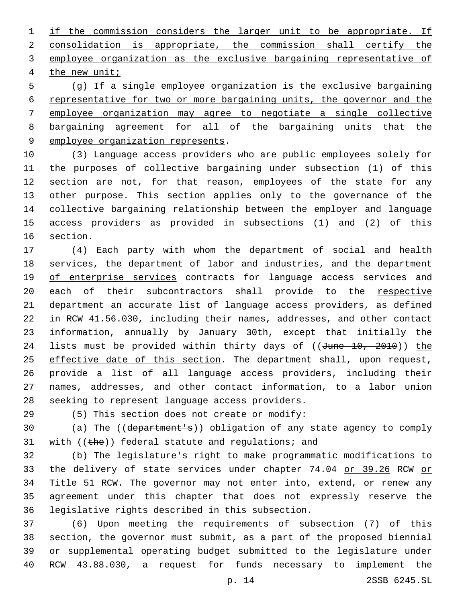if the commission considers the larger unit to be appropriate. If consolidation is appropriate, the commission shall certify the employee organization as the exclusive bargaining representative of 4 the new unit;

 (g) If a single employee organization is the exclusive bargaining 6 representative for two or more bargaining units, the governor and the employee organization may agree to negotiate a single collective bargaining agreement for all of the bargaining units that the 9 employee organization represents.

 (3) Language access providers who are public employees solely for the purposes of collective bargaining under subsection (1) of this section are not, for that reason, employees of the state for any other purpose. This section applies only to the governance of the collective bargaining relationship between the employer and language access providers as provided in subsections (1) and (2) of this 16 section.

 (4) Each party with whom the department of social and health 18 services, the department of labor and industries, and the department 19 of enterprise services contracts for language access services and 20 each of their subcontractors shall provide to the respective department an accurate list of language access providers, as defined in RCW 41.56.030, including their names, addresses, and other contact information, annually by January 30th, except that initially the 24 lists must be provided within thirty days of ((June 10, 2010)) the 25 effective date of this section. The department shall, upon request, provide a list of all language access providers, including their names, addresses, and other contact information, to a labor union 28 seeking to represent language access providers.

(5) This section does not create or modify:29

 (a) The ((department's)) obligation of any state agency to comply 31 with (( $the$ )) federal statute and regulations; and

 (b) The legislature's right to make programmatic modifications to 33 the delivery of state services under chapter 74.04 or 39.26 RCW or Title 51 RCW. The governor may not enter into, extend, or renew any agreement under this chapter that does not expressly reserve the 36 legislative rights described in this subsection.

 (6) Upon meeting the requirements of subsection (7) of this section, the governor must submit, as a part of the proposed biennial or supplemental operating budget submitted to the legislature under RCW 43.88.030, a request for funds necessary to implement the

p. 14 2SSB 6245.SL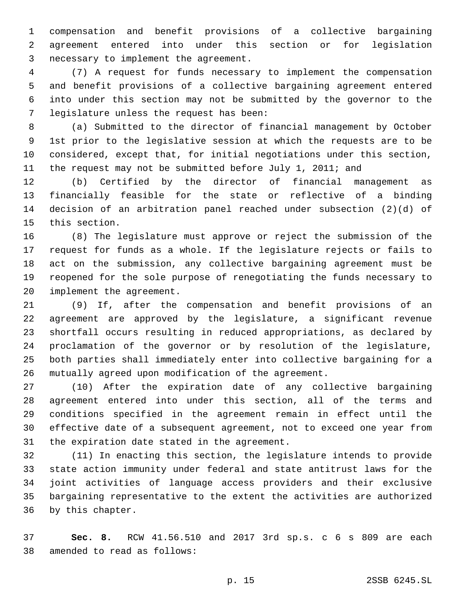compensation and benefit provisions of a collective bargaining agreement entered into under this section or for legislation 3 necessary to implement the agreement.

 (7) A request for funds necessary to implement the compensation and benefit provisions of a collective bargaining agreement entered into under this section may not be submitted by the governor to the legislature unless the request has been:7

 (a) Submitted to the director of financial management by October 1st prior to the legislative session at which the requests are to be considered, except that, for initial negotiations under this section, 11 the request may not be submitted before July 1, 2011; and

 (b) Certified by the director of financial management as financially feasible for the state or reflective of a binding decision of an arbitration panel reached under subsection (2)(d) of 15 this section.

 (8) The legislature must approve or reject the submission of the request for funds as a whole. If the legislature rejects or fails to act on the submission, any collective bargaining agreement must be reopened for the sole purpose of renegotiating the funds necessary to 20 implement the agreement.

 (9) If, after the compensation and benefit provisions of an agreement are approved by the legislature, a significant revenue shortfall occurs resulting in reduced appropriations, as declared by proclamation of the governor or by resolution of the legislature, both parties shall immediately enter into collective bargaining for a mutually agreed upon modification of the agreement.

 (10) After the expiration date of any collective bargaining agreement entered into under this section, all of the terms and conditions specified in the agreement remain in effect until the effective date of a subsequent agreement, not to exceed one year from 31 the expiration date stated in the agreement.

 (11) In enacting this section, the legislature intends to provide state action immunity under federal and state antitrust laws for the joint activities of language access providers and their exclusive bargaining representative to the extent the activities are authorized 36 by this chapter.

 **Sec. 8.** RCW 41.56.510 and 2017 3rd sp.s. c 6 s 809 are each 38 amended to read as follows: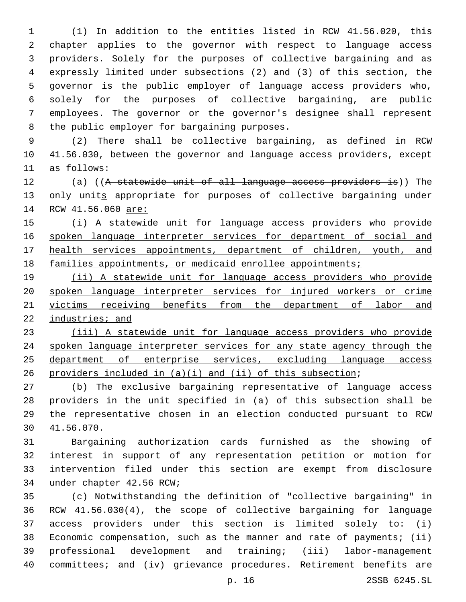(1) In addition to the entities listed in RCW 41.56.020, this chapter applies to the governor with respect to language access providers. Solely for the purposes of collective bargaining and as expressly limited under subsections (2) and (3) of this section, the governor is the public employer of language access providers who, solely for the purposes of collective bargaining, are public employees. The governor or the governor's designee shall represent 8 the public employer for bargaining purposes.

 (2) There shall be collective bargaining, as defined in RCW 41.56.030, between the governor and language access providers, except 11 as follows:

12 (a) ((A statewide unit of all language access providers is)) The 13 only units appropriate for purposes of collective bargaining under 14 RCW 41.56.060 are:

15 (i) A statewide unit for language access providers who provide 16 spoken language interpreter services for department of social and health services appointments, department of children, youth, and 18 families appointments, or medicaid enrollee appointments;

 (ii) A statewide unit for language access providers who provide spoken language interpreter services for injured workers or crime victims receiving benefits from the department of labor and industries; and

 (iii) A statewide unit for language access providers who provide spoken language interpreter services for any state agency through the department of enterprise services, excluding language access providers included in (a)(i) and (ii) of this subsection;

 (b) The exclusive bargaining representative of language access providers in the unit specified in (a) of this subsection shall be the representative chosen in an election conducted pursuant to RCW 41.56.070.30

 Bargaining authorization cards furnished as the showing of interest in support of any representation petition or motion for intervention filed under this section are exempt from disclosure 34 under chapter 42.56 RCW;

 (c) Notwithstanding the definition of "collective bargaining" in RCW 41.56.030(4), the scope of collective bargaining for language access providers under this section is limited solely to: (i) Economic compensation, such as the manner and rate of payments; (ii) professional development and training; (iii) labor-management committees; and (iv) grievance procedures. Retirement benefits are

p. 16 2SSB 6245.SL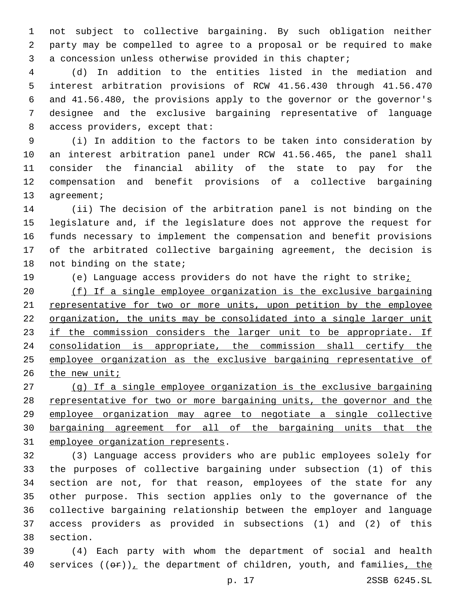not subject to collective bargaining. By such obligation neither party may be compelled to agree to a proposal or be required to make a concession unless otherwise provided in this chapter;

 (d) In addition to the entities listed in the mediation and interest arbitration provisions of RCW 41.56.430 through 41.56.470 and 41.56.480, the provisions apply to the governor or the governor's designee and the exclusive bargaining representative of language 8 access providers, except that:

 (i) In addition to the factors to be taken into consideration by an interest arbitration panel under RCW 41.56.465, the panel shall consider the financial ability of the state to pay for the compensation and benefit provisions of a collective bargaining 13 agreement;

 (ii) The decision of the arbitration panel is not binding on the legislature and, if the legislature does not approve the request for funds necessary to implement the compensation and benefit provisions of the arbitrated collective bargaining agreement, the decision is 18 not binding on the state;

(e) Language access providers do not have the right to strike;

 (f) If a single employee organization is the exclusive bargaining representative for two or more units, upon petition by the employee organization, the units may be consolidated into a single larger unit 23 if the commission considers the larger unit to be appropriate. If consolidation is appropriate, the commission shall certify the employee organization as the exclusive bargaining representative of the new unit;

 (g) If a single employee organization is the exclusive bargaining 28 representative for two or more bargaining units, the governor and the employee organization may agree to negotiate a single collective bargaining agreement for all of the bargaining units that the 31 employee organization represents.

 (3) Language access providers who are public employees solely for the purposes of collective bargaining under subsection (1) of this section are not, for that reason, employees of the state for any other purpose. This section applies only to the governance of the collective bargaining relationship between the employer and language access providers as provided in subsections (1) and (2) of this 38 section.

 (4) Each party with whom the department of social and health 40 services  $((\theta \cdot \hat{r}))_+$  the department of children, youth, and families, the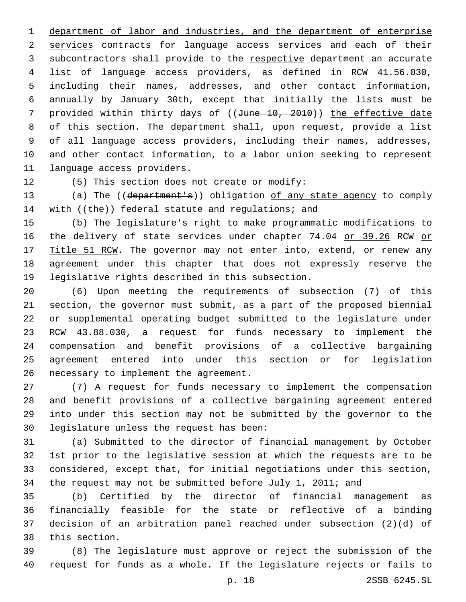department of labor and industries, and the department of enterprise services contracts for language access services and each of their subcontractors shall provide to the respective department an accurate list of language access providers, as defined in RCW 41.56.030, including their names, addresses, and other contact information, annually by January 30th, except that initially the lists must be 7 provided within thirty days of ((June 10, 2010)) the effective date 8 of this section. The department shall, upon request, provide a list of all language access providers, including their names, addresses, and other contact information, to a labor union seeking to represent 11 language access providers.

12 (5) This section does not create or modify:

 (a) The ((department's)) obligation of any state agency to comply 14 with (( $the$ )) federal statute and regulations; and

 (b) The legislature's right to make programmatic modifications to 16 the delivery of state services under chapter 74.04 or 39.26 RCW or 17 Title 51 RCW. The governor may not enter into, extend, or renew any agreement under this chapter that does not expressly reserve the 19 legislative rights described in this subsection.

 (6) Upon meeting the requirements of subsection (7) of this section, the governor must submit, as a part of the proposed biennial or supplemental operating budget submitted to the legislature under RCW 43.88.030, a request for funds necessary to implement the compensation and benefit provisions of a collective bargaining agreement entered into under this section or for legislation 26 necessary to implement the agreement.

 (7) A request for funds necessary to implement the compensation and benefit provisions of a collective bargaining agreement entered into under this section may not be submitted by the governor to the 30 legislature unless the request has been:

 (a) Submitted to the director of financial management by October 1st prior to the legislative session at which the requests are to be considered, except that, for initial negotiations under this section, the request may not be submitted before July 1, 2011; and

 (b) Certified by the director of financial management as financially feasible for the state or reflective of a binding decision of an arbitration panel reached under subsection (2)(d) of 38 this section.

 (8) The legislature must approve or reject the submission of the request for funds as a whole. If the legislature rejects or fails to

p. 18 2SSB 6245.SL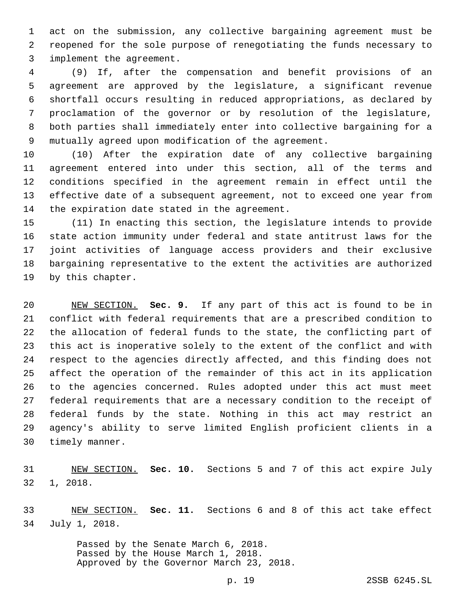act on the submission, any collective bargaining agreement must be reopened for the sole purpose of renegotiating the funds necessary to 3 implement the agreement.

 (9) If, after the compensation and benefit provisions of an agreement are approved by the legislature, a significant revenue shortfall occurs resulting in reduced appropriations, as declared by proclamation of the governor or by resolution of the legislature, both parties shall immediately enter into collective bargaining for a mutually agreed upon modification of the agreement.

 (10) After the expiration date of any collective bargaining agreement entered into under this section, all of the terms and conditions specified in the agreement remain in effect until the effective date of a subsequent agreement, not to exceed one year from 14 the expiration date stated in the agreement.

 (11) In enacting this section, the legislature intends to provide state action immunity under federal and state antitrust laws for the joint activities of language access providers and their exclusive bargaining representative to the extent the activities are authorized 19 by this chapter.

 NEW SECTION. **Sec. 9.** If any part of this act is found to be in conflict with federal requirements that are a prescribed condition to the allocation of federal funds to the state, the conflicting part of this act is inoperative solely to the extent of the conflict and with respect to the agencies directly affected, and this finding does not affect the operation of the remainder of this act in its application to the agencies concerned. Rules adopted under this act must meet federal requirements that are a necessary condition to the receipt of federal funds by the state. Nothing in this act may restrict an agency's ability to serve limited English proficient clients in a timely manner.

 NEW SECTION. **Sec. 10.** Sections 5 and 7 of this act expire July 1, 2018.

 NEW SECTION. **Sec. 11.** Sections 6 and 8 of this act take effect July 1, 2018.

> Passed by the Senate March 6, 2018. Passed by the House March 1, 2018. Approved by the Governor March 23, 2018.